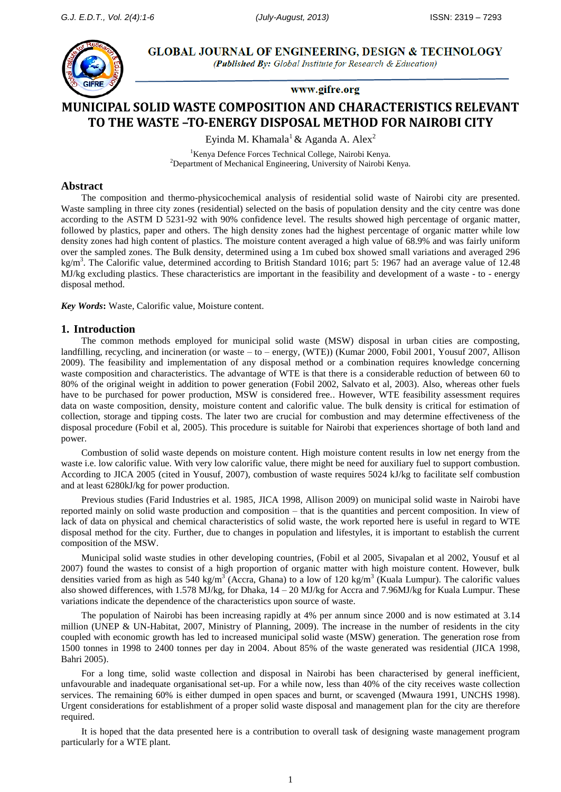

**GLOBAL JOURNAL OF ENGINEERING, DESIGN & TECHNOLOGY** (Published By: Global Institute for Research & Education)

www.gifre.org

# **MUNICIPAL SOLID WASTE COMPOSITION AND CHARACTERISTICS RELEVANT TO THE WASTE –TO-ENERGY DISPOSAL METHOD FOR NAIROBI CITY**

Eyinda M. Khamala<sup>1</sup> & Aganda A. Alex<sup>2</sup>

<sup>1</sup>Kenya Defence Forces Technical College, Nairobi Kenya.  $2$ Department of Mechanical Engineering, University of Nairobi Kenya.

## **Abstract**

The composition and thermo-physicochemical analysis of residential solid waste of Nairobi city are presented. Waste sampling in three city zones (residential) selected on the basis of population density and the city centre was done according to the ASTM D 5231-92 with 90% confidence level. The results showed high percentage of organic matter, followed by plastics, paper and others. The high density zones had the highest percentage of organic matter while low density zones had high content of plastics. The moisture content averaged a high value of 68.9% and was fairly uniform over the sampled zones. The Bulk density, determined using a 1m cubed box showed small variations and averaged 296 kg/m<sup>3</sup>. The Calorific value, determined according to British Standard 1016; part 5: 1967 had an average value of 12.48 MJ/kg excluding plastics. These characteristics are important in the feasibility and development of a waste - to - energy disposal method.

*Key Words***:** Waste, Calorific value, Moisture content.

### **1. Introduction**

The common methods employed for municipal solid waste (MSW) disposal in urban cities are composting, landfilling, recycling, and incineration (or waste – to – energy, (WTE)) (Kumar 2000, Fobil 2001, Yousuf 2007, Allison 2009). The feasibility and implementation of any disposal method or a combination requires knowledge concerning waste composition and characteristics. The advantage of WTE is that there is a considerable reduction of between 60 to 80% of the original weight in addition to power generation (Fobil 2002, Salvato et al, 2003). Also, whereas other fuels have to be purchased for power production, MSW is considered free.. However, WTE feasibility assessment requires data on waste composition, density, moisture content and calorific value. The bulk density is critical for estimation of collection, storage and tipping costs. The later two are crucial for combustion and may determine effectiveness of the disposal procedure (Fobil et al, 2005). This procedure is suitable for Nairobi that experiences shortage of both land and power.

Combustion of solid waste depends on moisture content. High moisture content results in low net energy from the waste i.e. low calorific value. With very low calorific value, there might be need for auxiliary fuel to support combustion. According to JICA 2005 (cited in Yousuf, 2007), combustion of waste requires 5024 kJ/kg to facilitate self combustion and at least 6280kJ/kg for power production.

Previous studies (Farid Industries et al. 1985, JICA 1998, Allison 2009) on municipal solid waste in Nairobi have reported mainly on solid waste production and composition – that is the quantities and percent composition. In view of lack of data on physical and chemical characteristics of solid waste, the work reported here is useful in regard to WTE disposal method for the city. Further, due to changes in population and lifestyles, it is important to establish the current composition of the MSW.

Municipal solid waste studies in other developing countries, (Fobil et al 2005, Sivapalan et al 2002, Yousuf et al 2007) found the wastes to consist of a high proportion of organic matter with high moisture content. However, bulk densities varied from as high as 540 kg/m<sup>3</sup> (Accra, Ghana) to a low of 120 kg/m<sup>3</sup> (Kuala Lumpur). The calorific values also showed differences, with 1.578 MJ/kg, for Dhaka, 14 – 20 MJ/kg for Accra and 7.96MJ/kg for Kuala Lumpur. These variations indicate the dependence of the characteristics upon source of waste.

The population of Nairobi has been increasing rapidly at 4% per annum since 2000 and is now estimated at 3.14 million (UNEP & UN-Habitat, 2007, Ministry of Planning, 2009). The increase in the number of residents in the city coupled with economic growth has led to increased municipal solid waste (MSW) generation. The generation rose from 1500 tonnes in 1998 to 2400 tonnes per day in 2004. About 85% of the waste generated was residential (JICA 1998, Bahri 2005).

For a long time, solid waste collection and disposal in Nairobi has been characterised by general inefficient, unfavourable and inadequate organisational set-up. For a while now, less than 40% of the city receives waste collection services. The remaining 60% is either dumped in open spaces and burnt, or scavenged (Mwaura 1991, UNCHS 1998). Urgent considerations for establishment of a proper solid waste disposal and management plan for the city are therefore required.

It is hoped that the data presented here is a contribution to overall task of designing waste management program particularly for a WTE plant.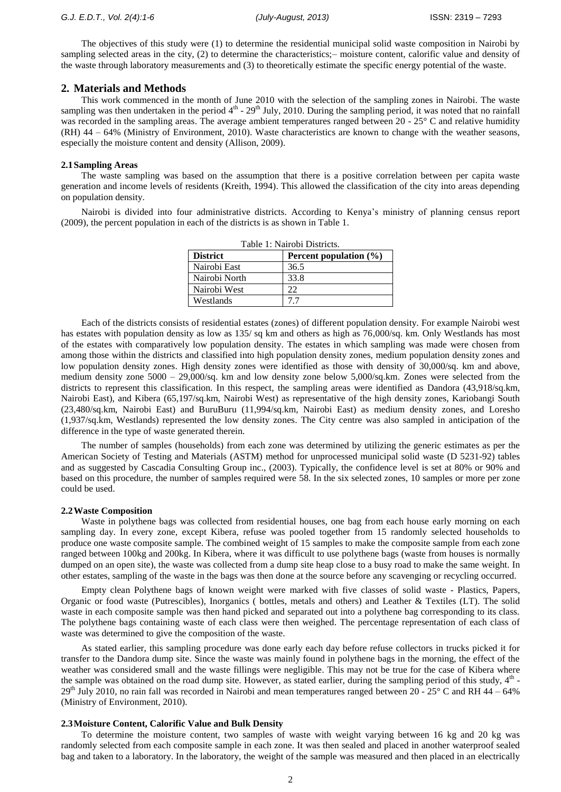The objectives of this study were (1) to determine the residential municipal solid waste composition in Nairobi by sampling selected areas in the city, (2) to determine the characteristics;– moisture content, calorific value and density of the waste through laboratory measurements and (3) to theoretically estimate the specific energy potential of the waste.

## **2. Materials and Methods**

This work commenced in the month of June 2010 with the selection of the sampling zones in Nairobi. The waste sampling was then undertaken in the period  $4<sup>th</sup>$  -  $29<sup>th</sup>$  July, 2010. During the sampling period, it was noted that no rainfall was recorded in the sampling areas. The average ambient temperatures ranged between 20 - 25° C and relative humidity (RH) 44 – 64% (Ministry of Environment, 2010). Waste characteristics are known to change with the weather seasons, especially the moisture content and density (Allison, 2009).

#### **2.1Sampling Areas**

The waste sampling was based on the assumption that there is a positive correlation between per capita waste generation and income levels of residents (Kreith, 1994). This allowed the classification of the city into areas depending on population density.

Nairobi is divided into four administrative districts. According to Kenya's ministry of planning census report (2009), the percent population in each of the districts is as shown in Table 1.

| Table 1: Nairobi Districts. |                            |  |  |
|-----------------------------|----------------------------|--|--|
| <b>District</b>             | Percent population $(\% )$ |  |  |
| Nairobi East                | 36.5                       |  |  |
| Nairobi North               | 33.8                       |  |  |
| Nairobi West                | 22                         |  |  |
| Westlands                   | 77                         |  |  |

Each of the districts consists of residential estates (zones) of different population density. For example Nairobi west has estates with population density as low as 135/ sq km and others as high as 76,000/sq. km. Only Westlands has most of the estates with comparatively low population density. The estates in which sampling was made were chosen from among those within the districts and classified into high population density zones, medium population density zones and low population density zones. High density zones were identified as those with density of 30,000/sq. km and above, medium density zone 5000 – 29,000/sq. km and low density zone below 5,000/sq.km. Zones were selected from the districts to represent this classification. In this respect, the sampling areas were identified as Dandora (43,918/sq.km, Nairobi East), and Kibera (65,197/sq.km, Nairobi West) as representative of the high density zones, Kariobangi South (23,480/sq.km, Nairobi East) and BuruBuru (11,994/sq.km, Nairobi East) as medium density zones, and Loresho (1,937/sq.km, Westlands) represented the low density zones. The City centre was also sampled in anticipation of the difference in the type of waste generated therein.

The number of samples (households) from each zone was determined by utilizing the generic estimates as per the American Society of Testing and Materials (ASTM) method for unprocessed municipal solid waste (D 5231-92) tables and as suggested by Cascadia Consulting Group inc., (2003). Typically, the confidence level is set at 80% or 90% and based on this procedure, the number of samples required were 58. In the six selected zones, 10 samples or more per zone could be used.

#### **2.2Waste Composition**

Waste in polythene bags was collected from residential houses, one bag from each house early morning on each sampling day. In every zone, except Kibera, refuse was pooled together from 15 randomly selected households to produce one waste composite sample. The combined weight of 15 samples to make the composite sample from each zone ranged between 100kg and 200kg. In Kibera, where it was difficult to use polythene bags (waste from houses is normally dumped on an open site), the waste was collected from a dump site heap close to a busy road to make the same weight. In other estates, sampling of the waste in the bags was then done at the source before any scavenging or recycling occurred.

Empty clean Polythene bags of known weight were marked with five classes of solid waste - Plastics, Papers, Organic or food waste (Putrescibles), Inorganics ( bottles, metals and others) and Leather & Textiles (LT). The solid waste in each composite sample was then hand picked and separated out into a polythene bag corresponding to its class. The polythene bags containing waste of each class were then weighed. The percentage representation of each class of waste was determined to give the composition of the waste.

As stated earlier, this sampling procedure was done early each day before refuse collectors in trucks picked it for transfer to the Dandora dump site. Since the waste was mainly found in polythene bags in the morning, the effect of the weather was considered small and the waste fillings were negligible. This may not be true for the case of Kibera where the sample was obtained on the road dump site. However, as stated earlier, during the sampling period of this study,  $4<sup>th</sup>$  - $29<sup>th</sup>$  July 2010, no rain fall was recorded in Nairobi and mean temperatures ranged between 20 - 25 $\degree$  C and RH 44 – 64% (Ministry of Environment, 2010).

## **2.3Moisture Content, Calorific Value and Bulk Density**

To determine the moisture content, two samples of waste with weight varying between 16 kg and 20 kg was randomly selected from each composite sample in each zone. It was then sealed and placed in another waterproof sealed bag and taken to a laboratory. In the laboratory, the weight of the sample was measured and then placed in an electrically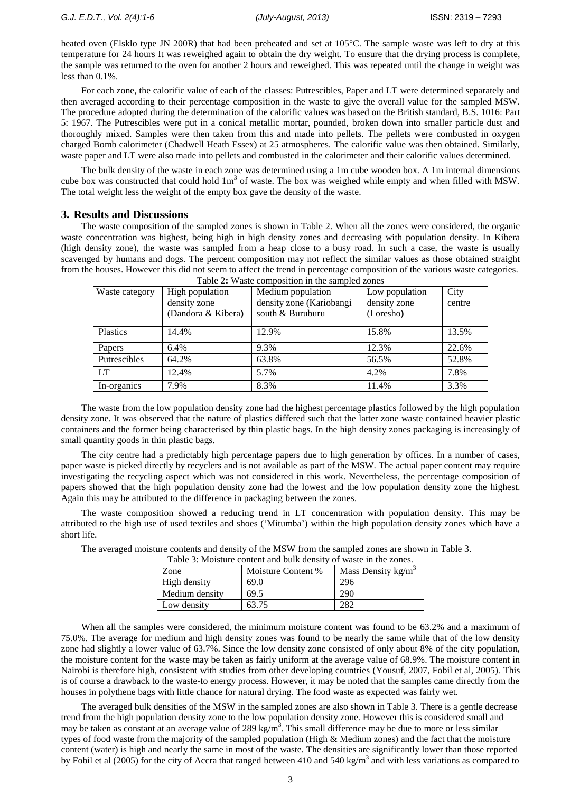heated oven (Elsklo type JN 200R) that had been preheated and set at 105°C. The sample waste was left to dry at this temperature for 24 hours It was reweighed again to obtain the dry weight. To ensure that the drying process is complete, the sample was returned to the oven for another 2 hours and reweighed. This was repeated until the change in weight was less than 0.1%.

For each zone, the calorific value of each of the classes: Putrescibles, Paper and LT were determined separately and then averaged according to their percentage composition in the waste to give the overall value for the sampled MSW. The procedure adopted during the determination of the calorific values was based on the British standard, B.S. 1016: Part 5: 1967. The Putrescibles were put in a conical metallic mortar, pounded, broken down into smaller particle dust and thoroughly mixed. Samples were then taken from this and made into pellets. The pellets were combusted in oxygen charged Bomb calorimeter (Chadwell Heath Essex) at 25 atmospheres. The calorific value was then obtained. Similarly, waste paper and LT were also made into pellets and combusted in the calorimeter and their calorific values determined.

The bulk density of the waste in each zone was determined using a 1m cube wooden box. A 1m internal dimensions cube box was constructed that could hold  $1m<sup>3</sup>$  of waste. The box was weighed while empty and when filled with MSW. The total weight less the weight of the empty box gave the density of the waste.

#### **3. Results and Discussions**

The waste composition of the sampled zones is shown in Table 2. When all the zones were considered, the organic waste concentration was highest, being high in high density zones and decreasing with population density. In Kibera (high density zone), the waste was sampled from a heap close to a busy road. In such a case, the waste is usually scavenged by humans and dogs. The percent composition may not reflect the similar values as those obtained straight from the houses. However this did not seem to affect the trend in percentage composition of the various waste categories.

| Table 2: Waste composition in the sampled zones |                    |                          |                |        |
|-------------------------------------------------|--------------------|--------------------------|----------------|--------|
| Waste category                                  | High population    | Medium population        | Low population | City   |
|                                                 | density zone       | density zone (Kariobangi | density zone   | centre |
|                                                 | (Dandora & Kibera) | south & Buruburu         | (Loresho)      |        |
|                                                 |                    |                          |                |        |
| <b>Plastics</b>                                 | 14.4%              | 12.9%                    | 15.8%          | 13.5%  |
| Papers                                          | $6.4\%$            | 9.3%                     | 12.3%          | 22.6%  |
| Putrescibles                                    | 64.2%              | 63.8%                    | 56.5%          | 52.8%  |
| <b>LT</b>                                       | 12.4%              | 5.7%                     | 4.2%           | 7.8%   |
| In-organics                                     | 7.9%               | 8.3%                     | 11.4%          | 3.3%   |

The waste from the low population density zone had the highest percentage plastics followed by the high population density zone. It was observed that the nature of plastics differed such that the latter zone waste contained heavier plastic containers and the former being characterised by thin plastic bags. In the high density zones packaging is increasingly of small quantity goods in thin plastic bags.

The city centre had a predictably high percentage papers due to high generation by offices. In a number of cases, paper waste is picked directly by recyclers and is not available as part of the MSW. The actual paper content may require investigating the recycling aspect which was not considered in this work. Nevertheless, the percentage composition of papers showed that the high population density zone had the lowest and the low population density zone the highest. Again this may be attributed to the difference in packaging between the zones.

The waste composition showed a reducing trend in LT concentration with population density. This may be attributed to the high use of used textiles and shoes ('Mitumba') within the high population density zones which have a short life.

The averaged moisture contents and density of the MSW from the sampled zones are shown in Table 3.

| Table 3: Moisture content and bulk density of waste in the zones. |                    |                      |  |
|-------------------------------------------------------------------|--------------------|----------------------|--|
| Zone                                                              | Moisture Content % | Mass Density $kg/m3$ |  |
| High density                                                      | 69.0               | 296                  |  |
| Medium density                                                    | 69.5               | 290                  |  |
| Low density                                                       | 63.75              | 282                  |  |

When all the samples were considered, the minimum moisture content was found to be 63.2% and a maximum of 75.0%. The average for medium and high density zones was found to be nearly the same while that of the low density zone had slightly a lower value of 63.7%. Since the low density zone consisted of only about 8% of the city population, the moisture content for the waste may be taken as fairly uniform at the average value of 68.9%. The moisture content in Nairobi is therefore high, consistent with studies from other developing countries (Yousuf, 2007, Fobil et al, 2005). This is of course a drawback to the waste-to energy process. However, it may be noted that the samples came directly from the houses in polythene bags with little chance for natural drying. The food waste as expected was fairly wet.

The averaged bulk densities of the MSW in the sampled zones are also shown in Table 3. There is a gentle decrease trend from the high population density zone to the low population density zone. However this is considered small and may be taken as constant at an average value of 289 kg/m<sup>3</sup>. This small difference may be due to more or less similar types of food waste from the majority of the sampled population (High & Medium zones) and the fact that the moisture content (water) is high and nearly the same in most of the waste. The densities are significantly lower than those reported by Fobil et al (2005) for the city of Accra that ranged between 410 and 540 kg/m<sup>3</sup> and with less variations as compared to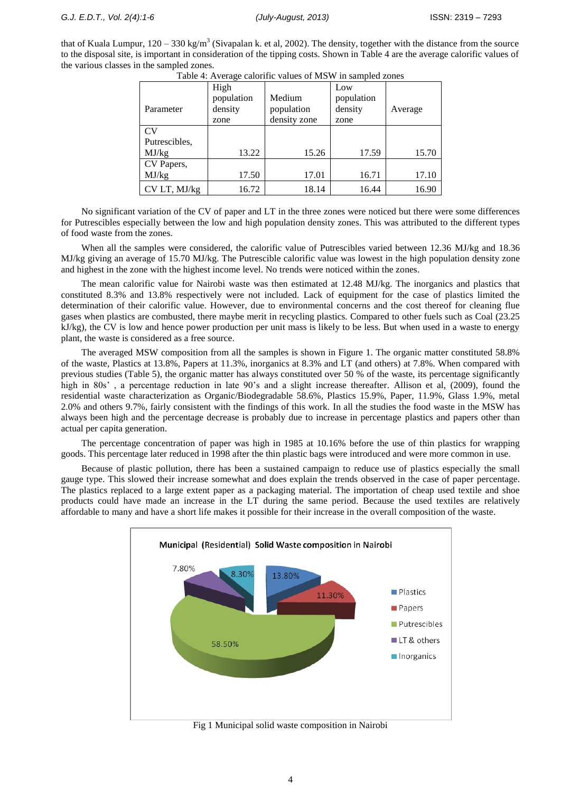that of Kuala Lumpur,  $120 - 330$  kg/m<sup>3</sup> (Sivapalan k. et al, 2002). The density, together with the distance from the source to the disposal site, is important in consideration of the tipping costs. Shown in Table 4 are the average calorific values of the various classes in the sampled zones.

|               | Table +. Average calonitie values of two will sampled zones |                                      |                                      |         |
|---------------|-------------------------------------------------------------|--------------------------------------|--------------------------------------|---------|
| Parameter     | High<br>population<br>density<br>zone                       | Medium<br>population<br>density zone | Low<br>population<br>density<br>zone | Average |
| CV            |                                                             |                                      |                                      |         |
| Putrescibles, |                                                             |                                      |                                      |         |
| MJ/kg         | 13.22                                                       | 15.26                                | 17.59                                | 15.70   |
| CV Papers,    |                                                             |                                      |                                      |         |
| MJ/kg         | 17.50                                                       | 17.01                                | 16.71                                | 17.10   |
| CV LT, MJ/kg  | 16.72                                                       | 18.14                                | 16.44                                | 16.90   |

Table 4: Average calorific values of MSW in sampled zones

No significant variation of the CV of paper and LT in the three zones were noticed but there were some differences for Putrescibles especially between the low and high population density zones. This was attributed to the different types of food waste from the zones.

When all the samples were considered, the calorific value of Putrescibles varied between 12.36 MJ/kg and 18.36 MJ/kg giving an average of 15.70 MJ/kg. The Putrescible calorific value was lowest in the high population density zone and highest in the zone with the highest income level. No trends were noticed within the zones.

The mean calorific value for Nairobi waste was then estimated at 12.48 MJ/kg. The inorganics and plastics that constituted 8.3% and 13.8% respectively were not included. Lack of equipment for the case of plastics limited the determination of their calorific value. However, due to environmental concerns and the cost thereof for cleaning flue gases when plastics are combusted, there maybe merit in recycling plastics. Compared to other fuels such as Coal (23.25 kJ/kg), the CV is low and hence power production per unit mass is likely to be less. But when used in a waste to energy plant, the waste is considered as a free source.

The averaged MSW composition from all the samples is shown in Figure 1. The organic matter constituted 58.8% of the waste, Plastics at 13.8%, Papers at 11.3%, inorganics at 8.3% and LT (and others) at 7.8%. When compared with previous studies (Table 5), the organic matter has always constituted over 50 % of the waste, its percentage significantly high in 80s', a percentage reduction in late 90's and a slight increase thereafter. Allison et al, (2009), found the residential waste characterization as Organic/Biodegradable 58.6%, Plastics 15.9%, Paper, 11.9%, Glass 1.9%, metal 2.0% and others 9.7%, fairly consistent with the findings of this work. In all the studies the food waste in the MSW has always been high and the percentage decrease is probably due to increase in percentage plastics and papers other than actual per capita generation.

The percentage concentration of paper was high in 1985 at 10.16% before the use of thin plastics for wrapping goods. This percentage later reduced in 1998 after the thin plastic bags were introduced and were more common in use.

Because of plastic pollution, there has been a sustained campaign to reduce use of plastics especially the small gauge type. This slowed their increase somewhat and does explain the trends observed in the case of paper percentage. The plastics replaced to a large extent paper as a packaging material. The importation of cheap used textile and shoe products could have made an increase in the LT during the same period. Because the used textiles are relatively affordable to many and have a short life makes it possible for their increase in the overall composition of the waste.



Fig 1 Municipal solid waste composition in Nairobi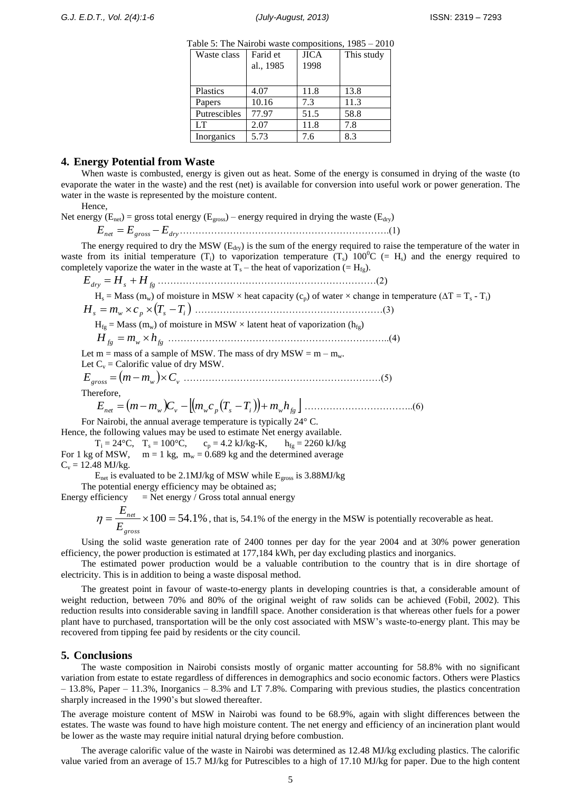| Waste class  | Farid et<br>al., 1985 | <b>JICA</b><br>1998 | This study |
|--------------|-----------------------|---------------------|------------|
| Plastics     | 4.07                  | 11.8                | 13.8       |
| Papers       | 10.16                 | 7.3                 | 11.3       |
| Putrescibles | 77.97                 | 51.5                | 58.8       |
| LT           | 2.07                  | 11.8                | 7.8        |
| Inorganics   | 5.73                  | 7.6                 | 8.3        |

## **4. Energy Potential from Waste**

When waste is combusted, energy is given out as heat. Some of the energy is consumed in drying of the waste (to evaporate the water in the waste) and the rest (net) is available for conversion into useful work or power generation. The water in the waste is represented by the moisture content.

Hence,

Net energy ( $E_{net}$ ) = gross total energy ( $E_{cross}$ ) – energy required in drying the waste ( $E_{dry}$ )

*Enet Egross Edry*………………………………………………………….(1)

The energy required to dry the MSW  $(E_{\text{dry}})$  is the sum of the energy required to raise the temperature of the water in waste from its initial temperature (T<sub>i</sub>) to vaporization temperature (T<sub>s</sub>) 100<sup>0</sup>C (= H<sub>s</sub>) and the energy required to completely vaporize the water in the waste at  $T_s$  – the heat of vaporization (= H<sub>fg</sub>).

*Edry H<sup>s</sup> H fg* …………………………………….………………………(2)  $H_s = Mass (m_w)$  of moisture in MSW × heat capacity (c<sub>p</sub>) of water × change in temperature ( $\Delta T = T_s - T_i$ ) *<sup>s</sup> <sup>w</sup> <sup>p</sup> T<sup>s</sup> T<sup>i</sup> H m c* ……………………………………………………(3)  $H_{fg}$  = Mass (m<sub>w</sub>) of moisture in MSW × latent heat of vaporization (h<sub>fg</sub>) *H fg m<sup>w</sup> hfg* ……………………………………………………………..(4) Let  $m =$  mass of a sample of MSW. The mass of dry MSW =  $m - m_w$ . Let  $C_v$  = Calorific value of dry MSW.  $E_{\text{gross}} = (m - m_{w}) \times C_{v}$  ………………………………………………………………………(5)

Therefore,

*net <sup>w</sup> <sup>v</sup> <sup>w</sup> <sup>p</sup> T<sup>s</sup> T<sup>i</sup> mwhfg E m m C m c* ……………………………..(6)

For Nairobi, the annual average temperature is typically 24° C. Hence, the following values may be used to estimate Net energy available.

 $T_i = 24\degree C$ ,  $T_s = 100\degree C$ ,  $c_p = 4.2 \text{ kJ/kg-K}$ ,  $h_{fg} = 2260 \text{ kJ/kg}$ For 1 kg of MSW,  $m = 1$  kg,  $m_w = 0.689$  kg and the determined average  $C_v = 12.48 \text{ MJ/kg}.$ 

Enet is evaluated to be 2.1MJ/kg of MSW while Egross is 3.88MJ/kg The potential energy efficiency may be obtained as;

Energy efficiency  $=$  Net energy / Gross total annual energy

 $=\frac{L_{net}}{R} \times 100 = 54.1\%$ *gross net E E*  $\eta = \frac{-net}{\pi} \times 100 = 54.1\%$ , that is, 54.1% of the energy in the MSW is potentially recoverable as heat.

Using the solid waste generation rate of 2400 tonnes per day for the year 2004 and at 30% power generation efficiency, the power production is estimated at 177,184 kWh, per day excluding plastics and inorganics.

The estimated power production would be a valuable contribution to the country that is in dire shortage of electricity. This is in addition to being a waste disposal method.

The greatest point in favour of waste-to-energy plants in developing countries is that, a considerable amount of weight reduction, between 70% and 80% of the original weight of raw solids can be achieved (Fobil, 2002). This reduction results into considerable saving in landfill space. Another consideration is that whereas other fuels for a power plant have to purchased, transportation will be the only cost associated with MSW's waste-to-energy plant. This may be recovered from tipping fee paid by residents or the city council.

#### **5. Conclusions**

The waste composition in Nairobi consists mostly of organic matter accounting for 58.8% with no significant variation from estate to estate regardless of differences in demographics and socio economic factors. Others were Plastics – 13.8%, Paper – 11.3%, Inorganics – 8.3% and LT 7.8%. Comparing with previous studies, the plastics concentration sharply increased in the 1990's but slowed thereafter.

The average moisture content of MSW in Nairobi was found to be 68.9%, again with slight differences between the estates. The waste was found to have high moisture content. The net energy and efficiency of an incineration plant would be lower as the waste may require initial natural drying before combustion.

The average calorific value of the waste in Nairobi was determined as 12.48 MJ/kg excluding plastics. The calorific value varied from an average of 15.7 MJ/kg for Putrescibles to a high of 17.10 MJ/kg for paper. Due to the high content